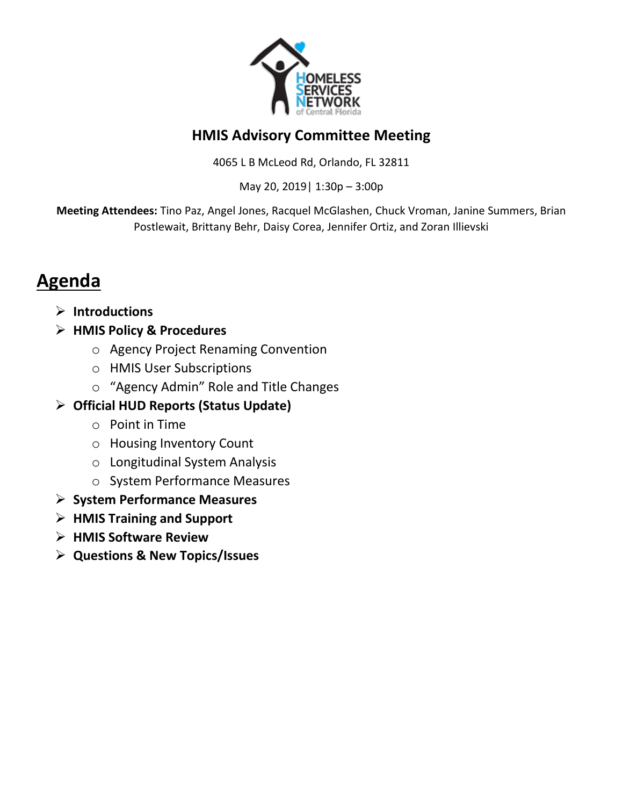

### **HMIS Advisory Committee Meeting**

4065 L B McLeod Rd, Orlando, FL 32811

May 20, 2019| 1:30p – 3:00p

**Meeting Attendees:** Tino Paz, Angel Jones, Racquel McGlashen, Chuck Vroman, Janine Summers, Brian Postlewait, Brittany Behr, Daisy Corea, Jennifer Ortiz, and Zoran Illievski

# **Agenda**

- **Introductions**
- **HMIS Policy & Procedures**
	- o Agency Project Renaming Convention
	- o HMIS User Subscriptions
	- o "Agency Admin" Role and Title Changes

### **Official HUD Reports (Status Update)**

- o Point in Time
- o Housing Inventory Count
- o Longitudinal System Analysis
- o System Performance Measures
- **System Performance Measures**
- **HMIS Training and Support**
- **HMIS Software Review**
- **Questions & New Topics/Issues**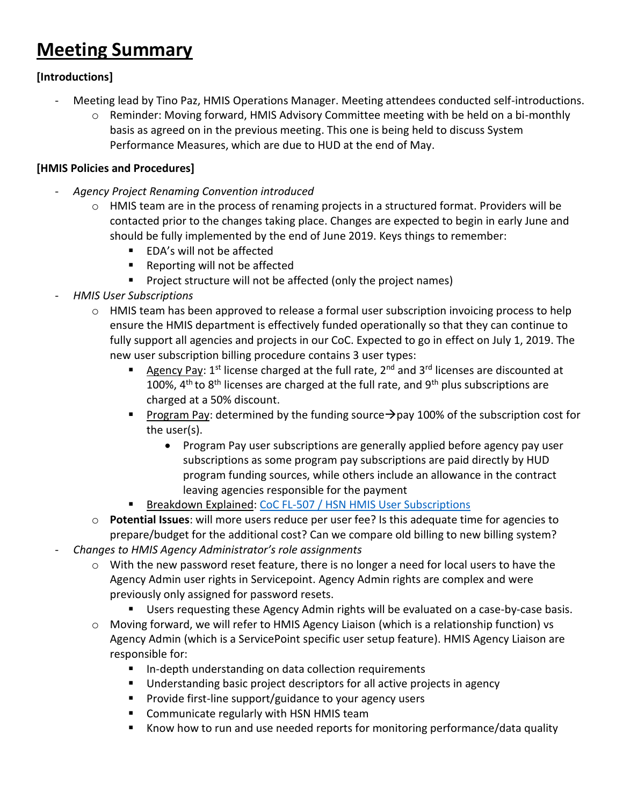## **Meeting Summary**

#### **[Introductions]**

- Meeting lead by Tino Paz, HMIS Operations Manager. Meeting attendees conducted self-introductions.
	- $\circ$  Reminder: Moving forward, HMIS Advisory Committee meeting with be held on a bi-monthly basis as agreed on in the previous meeting. This one is being held to discuss System Performance Measures, which are due to HUD at the end of May.

#### **[HMIS Policies and Procedures]**

- *Agency Project Renaming Convention introduced*
	- o HMIS team are in the process of renaming projects in a structured format. Providers will be contacted prior to the changes taking place. Changes are expected to begin in early June and should be fully implemented by the end of June 2019. Keys things to remember:
		- EDA's will not be affected
		- Reporting will not be affected
		- **Project structure will not be affected (only the project names)**
- *HMIS User Subscriptions*
	- $\circ$  HMIS team has been approved to release a formal user subscription invoicing process to help ensure the HMIS department is effectively funded operationally so that they can continue to fully support all agencies and projects in our CoC. Expected to go in effect on July 1, 2019. The new user subscription billing procedure contains 3 user types:
		- Agency Pay:  $1^{st}$  license charged at the full rate,  $2^{nd}$  and  $3^{rd}$  licenses are discounted at 100%,  $4<sup>th</sup>$  to  $8<sup>th</sup>$  licenses are charged at the full rate, and  $9<sup>th</sup>$  plus subscriptions are charged at a 50% discount.
		- Program Pay: determined by the funding source  $\rightarrow$  pay 100% of the subscription cost for the user(s).
			- Program Pay user subscriptions are generally applied before agency pay user subscriptions as some program pay subscriptions are paid directly by HUD program funding sources, while others include an allowance in the contract leaving agencies responsible for the payment
		- **Breakdown Explained: [CoC FL-507 / HSN HMIS User Subscriptions](https://docs.google.com/presentation/d/1TSXxNba-GSS9rzd_VtUk6FwfCpDkCcy2jvuhvBmwRGk/edit?usp=sharing)**
	- o **Potential Issues**: will more users reduce per user fee? Is this adequate time for agencies to prepare/budget for the additional cost? Can we compare old billing to new billing system? - *Changes to HMIS Agency Administrator's role assignments*
		- o With the new password reset feature, there is no longer a need for local users to have the Agency Admin user rights in Servicepoint. Agency Admin rights are complex and were previously only assigned for password resets.
			- Users requesting these Agency Admin rights will be evaluated on a case-by-case basis.
		- o Moving forward, we will refer to HMIS Agency Liaison (which is a relationship function) vs Agency Admin (which is a ServicePoint specific user setup feature). HMIS Agency Liaison are responsible for:
			- In-depth understanding on data collection requirements
			- Understanding basic project descriptors for all active projects in agency
			- Provide first-line support/guidance to your agency users
			- **E** Communicate regularly with HSN HMIS team
			- Know how to run and use needed reports for monitoring performance/data quality